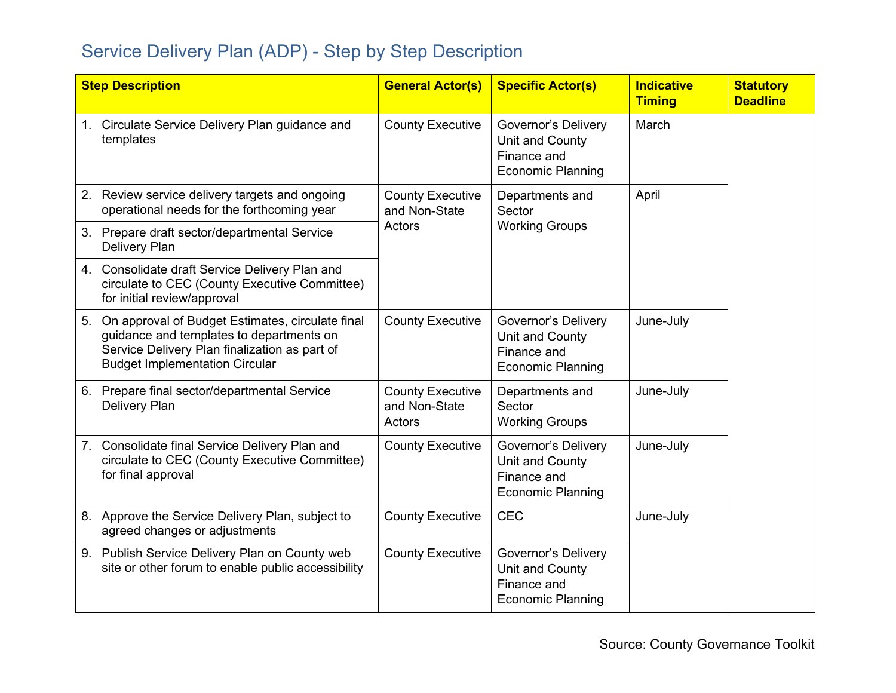## Service Delivery Plan (ADP) - Step by Step Description

| <b>Step Description</b> |                                                                                                                                                                                        | <b>General Actor(s)</b>                            | <b>Specific Actor(s)</b>                                                                 | <b>Indicative</b><br><b>Timing</b> | <b>Statutory</b><br><b>Deadline</b> |
|-------------------------|----------------------------------------------------------------------------------------------------------------------------------------------------------------------------------------|----------------------------------------------------|------------------------------------------------------------------------------------------|------------------------------------|-------------------------------------|
| 1.                      | Circulate Service Delivery Plan guidance and<br>templates                                                                                                                              | <b>County Executive</b>                            | <b>Governor's Delivery</b><br>Unit and County<br>Finance and<br><b>Economic Planning</b> | March                              |                                     |
|                         | 2. Review service delivery targets and ongoing<br>operational needs for the forthcoming year                                                                                           | <b>County Executive</b><br>and Non-State<br>Actors | Departments and<br>Sector<br><b>Working Groups</b>                                       | April                              |                                     |
|                         | 3. Prepare draft sector/departmental Service<br>Delivery Plan                                                                                                                          |                                                    |                                                                                          |                                    |                                     |
|                         | 4. Consolidate draft Service Delivery Plan and<br>circulate to CEC (County Executive Committee)<br>for initial review/approval                                                         |                                                    |                                                                                          |                                    |                                     |
| 5.                      | On approval of Budget Estimates, circulate final<br>guidance and templates to departments on<br>Service Delivery Plan finalization as part of<br><b>Budget Implementation Circular</b> | <b>County Executive</b>                            | <b>Governor's Delivery</b><br>Unit and County<br>Finance and<br><b>Economic Planning</b> | June-July                          |                                     |
|                         | 6. Prepare final sector/departmental Service<br><b>Delivery Plan</b>                                                                                                                   | <b>County Executive</b><br>and Non-State<br>Actors | Departments and<br>Sector<br><b>Working Groups</b>                                       | June-July                          |                                     |
| 7.                      | Consolidate final Service Delivery Plan and<br>circulate to CEC (County Executive Committee)<br>for final approval                                                                     | <b>County Executive</b>                            | <b>Governor's Delivery</b><br>Unit and County<br>Finance and<br><b>Economic Planning</b> | June-July                          |                                     |
|                         | 8. Approve the Service Delivery Plan, subject to<br>agreed changes or adjustments                                                                                                      | <b>County Executive</b>                            | <b>CEC</b>                                                                               | June-July                          |                                     |
|                         | 9. Publish Service Delivery Plan on County web<br>site or other forum to enable public accessibility                                                                                   | <b>County Executive</b>                            | Governor's Delivery<br>Unit and County<br>Finance and<br><b>Economic Planning</b>        |                                    |                                     |